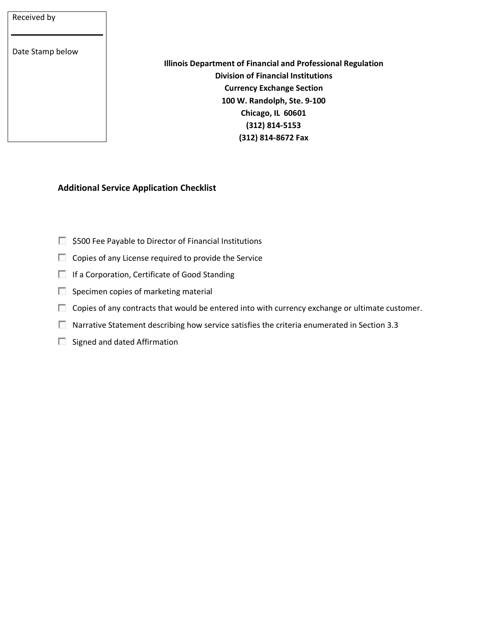## Received by

Date Stamp below

**Illinois Department of Financial and Professional Regulation Division of Financial Institutions Currency Exchange Section 100 W. Randolph, Ste. 9-100 Chicago, IL 60601 (312) 814-5153 (312) 814-8672 Fax**

## **Additional Service Application Checklist**

- $\Box$  \$500 Fee Payable to Director of Financial Institutions
- Copies of any License required to provide the Service
- If a Corporation, Certificate of Good Standing
- $\Box$  Specimen copies of marketing material
- $\Box$  Copies of any contracts that would be entered into with currency exchange or ultimate customer.
- **Narrative Statement describing how service satisfies the criteria enumerated in Section 3.3**
- $\Box$  Signed and dated Affirmation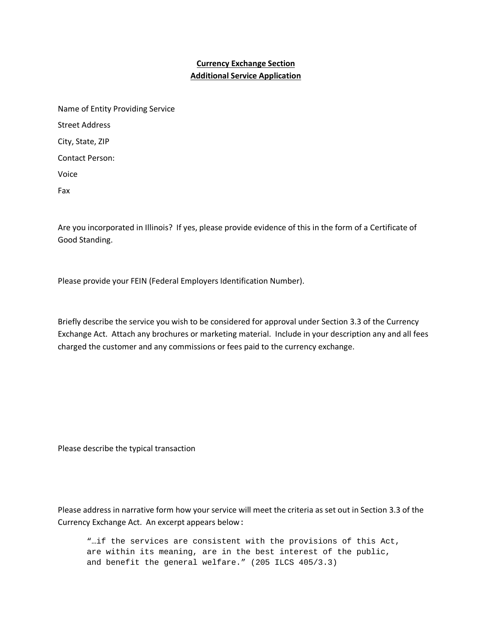## **Currency Exchange Section Additional Service Application**

| Name of Entity Providing Service |
|----------------------------------|
| <b>Street Address</b>            |
| City, State, ZIP                 |
| Contact Person:                  |
| Voice                            |
| Fax                              |

Are you incorporated in Illinois? If yes, please provide evidence of this in the form of a Certificate of Good Standing.

Please provide your FEIN (Federal Employers Identification Number).

Briefly describe the service you wish to be considered for approval under Section 3.3 of the Currency Exchange Act. Attach any brochures or marketing material. Include in your description any and all fees charged the customer and any commissions or fees paid to the currency exchange.

Please describe the typical transaction

Please address in narrative form how your service will meet the criteria as set out in Section 3.3 of the Currency Exchange Act. An excerpt appears below:

"…if the services are consistent with the provisions of this Act, are within its meaning, are in the best interest of the public, and benefit the general welfare." (205 ILCS 405/3.3)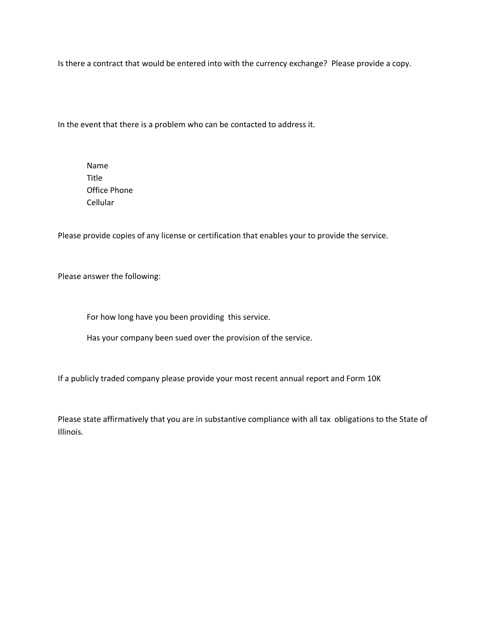Is there a contract that would be entered into with the currency exchange? Please provide a copy.

In the event that there is a problem who can be contacted to address it.

Name Title Office Phone Cellular

Please provide copies of any license or certification that enables your to provide the service.

Please answer the following:

For how long have you been providing this service.

Has your company been sued over the provision of the service.

If a publicly traded company please provide your most recent annual report and Form 10K

Please state affirmatively that you are in substantive compliance with all tax obligations to the State of Illinois.